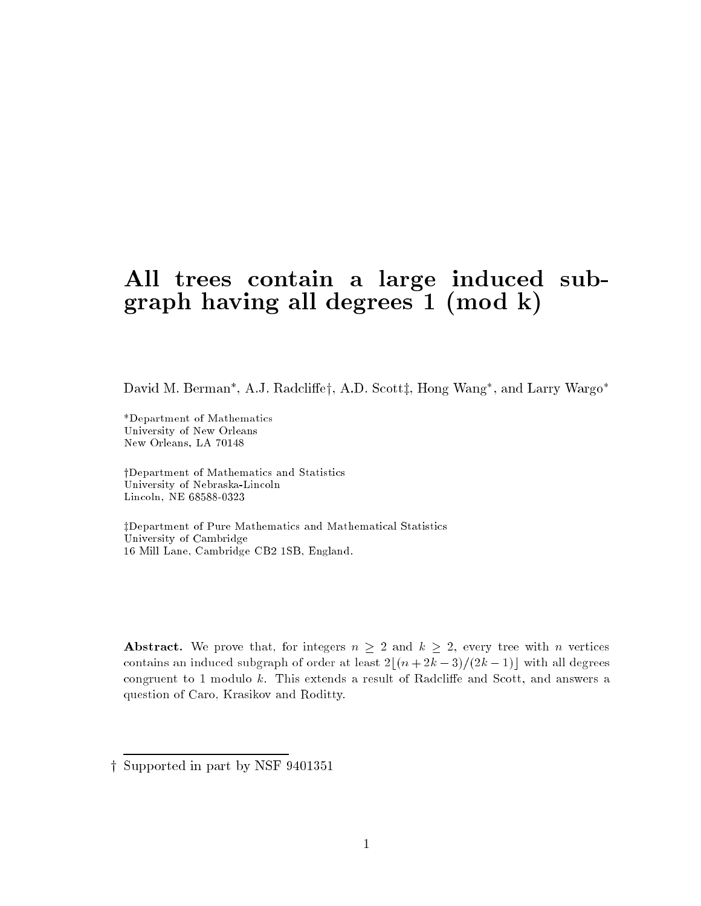## All trees contain a large induced subgraph having all degrees  $1 \pmod{k}$

David M. Berman , A.J. Radcliey, A.D. Scottz, Hong Wang , and Larry Wargo

\*Department of Mathematics University of New Orleans New Orleans, LA 70148

yDepartment of Mathematics and Statistics University of Nebraska-Lincoln Lincoln, NE 68588-0323

zDepartment of Pure Mathematics and Mathematical Statistics University of Cambridge 16 Mill Lane, Cambridge CB2 1SB, England.

**Abstract.** We prove that, for integers  $n \geq 2$  and  $k \geq 2$ , every tree with n vertices contains an induced subgraph of order at least  $2|(n + 2k - 3)/(2k - 1)|$  with all degrees congruent to 1 modulo k. This extends a result of Radcliffe and Scott, and answers a question of Caro, Krasikov and Roditty.

y Supported in part by NSF 9401351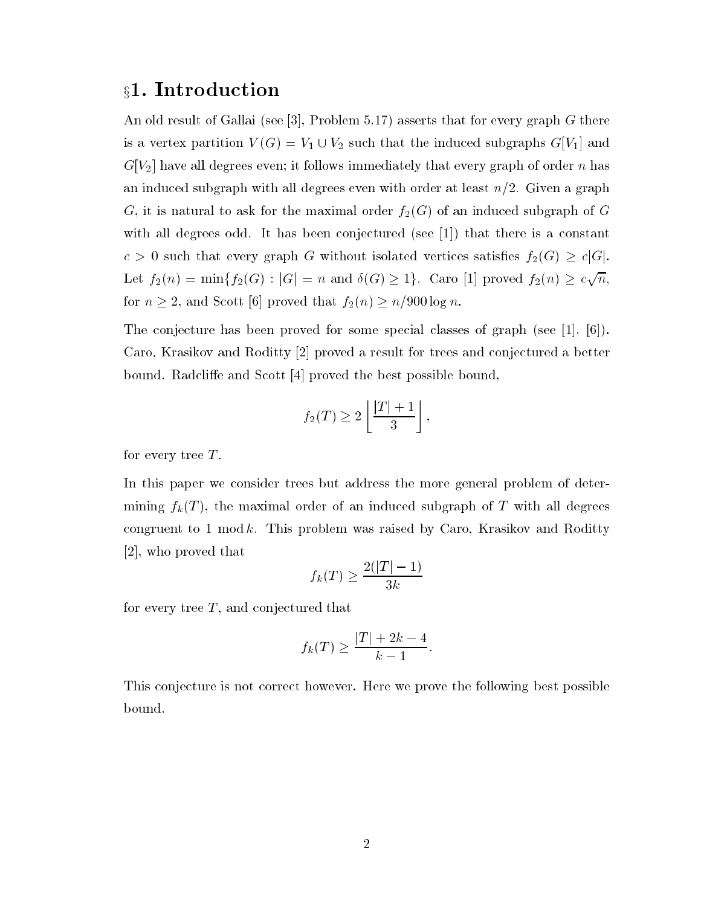## x1. Introduction

An old result of Gallai (see [3], Problem 5.17) asserts that for every graph G there is a vertex partition  $V(G) = V_1 \cup V_2$  such that the induced subgraphs  $G[V_1]$  and  $G[V_2]$  have all degrees even; it follows immediately that every graph of order n has an induced subgraph with all degrees even with order at least  $n/2$ . Given a graph G, it is natural to ask for the maximal order  $f_2(G)$  of an induced subgraph of G with all degrees odd. It has been conjectured (see  $[1]$ ) that there is a constant  $c > 0$  such that every graph G without isolated vertices satisfies  $f_2(G) \geq c|G|$ . Let  $f_2(n) = \min\{f_2(G) : |G| = n \text{ and } \delta(G) \geq 1\}$ . Caro [1] proved  $f_2(n) \geq c\sqrt{n}$ , for  $n \geq 2$ , and Scott [6] proved that  $f_2(n) \geq n/900 \log n$ .

The conjecture has been proved for some special classes of graph (see [1], [6]). Caro, Krasikov and Roditty [2] proved a result for trees and conjectured a better bound. Radcliffe and Scott [4] proved the best possible bound,

$$
f_2(T) \ge 2\left\lfloor \frac{|T|+1}{3} \right\rfloor,
$$

for every tree  $T$ .

In this paper we consider trees but address the more general problem of determining  $f_k(T)$ , the maximal order of an induced subgraph of T with all degrees congruent to 1 mod k. This problem was raised by Caro, Krasikov and Roditty [2], who proved that

$$
f_k(T) \ge \frac{2(|T|-1)}{3k}
$$

for every tree  $T$ , and conjectured that

$$
f_k(T) \ge \frac{|T| + 2k - 4}{k - 1}.
$$

This conjecture is not correct however. Here we prove the following best possible bound.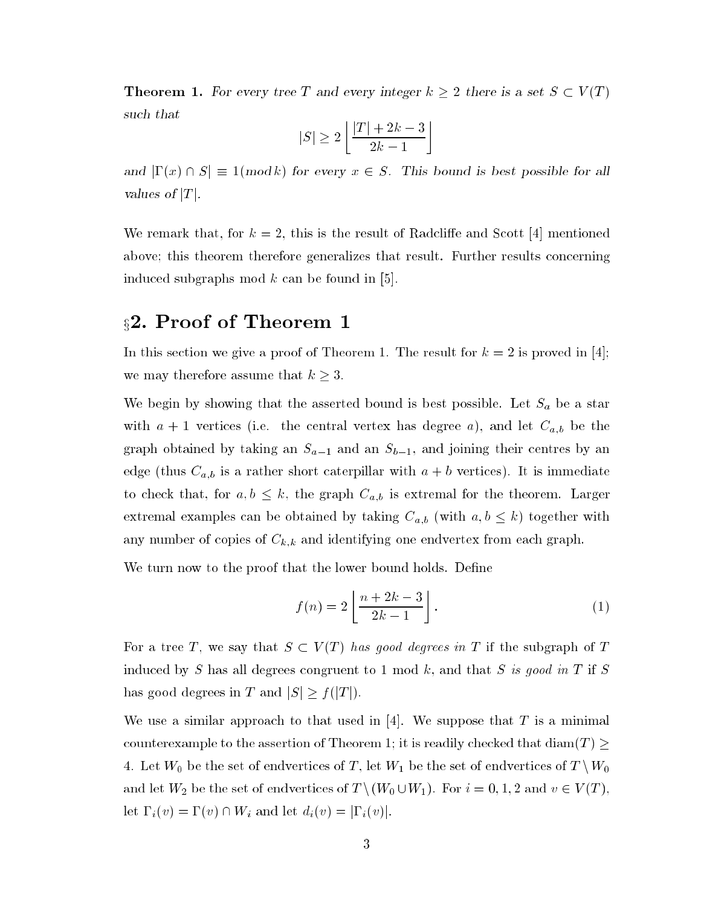**Theorem 1.** For every tree T and every integer  $k \geq 2$  there is a set  $S \subset V(T)$ such that

$$
|S| \ge 2\left\lfloor \frac{|T| + 2k - 3}{2k - 1} \right\rfloor
$$

and  $|\Gamma(x) \cap S| \equiv 1(mod k)$  for every  $x \in S$ . This bound is best possible for all values of  $|T|$ .

We remark that, for  $k = 2$ , this is the result of Radcliffe and Scott [4] mentioned above; this theorem therefore generalizes that result. Further results concerning induced subgraphs mod  $k$  can be found in [5].

## §2. Proof of Theorem 1

In this section we give a proof of Theorem 1. The result for  $k = 2$  is proved in [4]; we may therefore assume that  $k \geq 3$ .

We begin by showing that the asserted bound is best possible. Let  $S_a$  be a star with  $a + 1$  vertices (i.e. the central vertex has degree a), and let  $C_{a,b}$  be the graph obtained by taking an  $S_{a-1}$  and an  $S_{b-1}$ , and joining their centres by an edge (thus  $C_{a,b}$  is a rather short caterpillar with  $a + b$  vertices). It is immediate to check that, for  $a, b \leq k$ , the graph  $C_{a,b}$  is extremal for the theorem. Larger extremal examples can be obtained by taking  $C_{a,b}$  (with  $a,b \leq k$ ) together with any number of copies of  $C_{k,k}$  and identifying one endvertex from each graph.

We turn now to the proof that the lower bound holds. Define

$$
f(n) = 2\left\lfloor \frac{n+2k-3}{2k-1} \right\rfloor.
$$
 (1)

For a tree T, we say that  $S \subset V(T)$  has good degrees in T if the subgraph of T induced by S has all degrees congruent to 1 mod k, and that S is good in T if S has good degrees in T and  $|S| \ge f(|T|)$ .

We use a similar approach to that used in  $[4]$ . We suppose that T is a minimal counterexample to the assertion of Theorem 1; it is readily checked that  $\dim(T)$ 4. Let  $W_0$  be the set of endvertices of  $T,$  let  $W_1$  be the set of endvertices of  $T \setminus W_0$ and let  $W_2$  be the set of endvertices of  $T \setminus (W_0 \cup W_1)$ . For  $i = 0, 1, 2$  and  $v \in V(T)$ , let  $\Gamma_i(v) = \Gamma(v) \cap W_i$  and let  $d_i(v) = |\Gamma_i(v)|$ .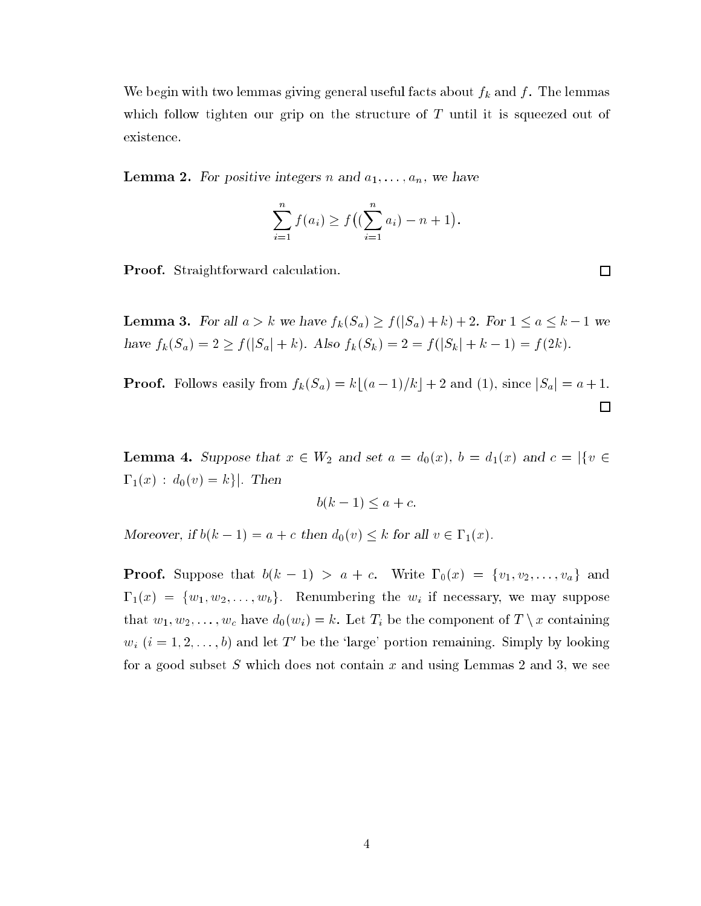We begin with two lemmas giving general useful facts about  $f_k$  and  $f$ . The lemmas which follow tighten our grip on the structure of  $T$  until it is squeezed out of existence.

**Lemma 2.** For positive integers n and  $a_1, \ldots, a_n$ , we have

$$
\sum_{i=1}^{n} f(a_i) \ge f\left((\sum_{i=1}^{n} a_i) - n + 1\right).
$$

 $\Box$ 

Proof. Straightforward calculation.

**Lemma 3.** For all  $a > k$  we have  $f_k(S_a) \ge f(|S_a| + k) + 2$ . For  $1 \le a \le k - 1$  we have  $f_k(S_a) = 2 \ge f(|S_a| + k)$ . Also  $f_k(S_k) = 2 = f(|S_k| + k - 1) = f(2k)$ .

**Proof.** Follows easily from  $f_k(S_a) = k\lfloor (a-1)/k \rfloor + 2$  and (1), since  $|S_a| = a + 1$ .  $\Box$ 

**Lemma 4.** Suppose that  $x \in W_2$  and set  $a = d_0(x)$ ,  $b = d_1(x)$  and  $c = |\{v \in W_2 : v \in W_1\}|$  $\Gamma_1(x) : d_0(v) = k$ . Then

$$
b(k-1) \le a + c.
$$

Moreover, if  $b(k-1) = a + c$  then  $d_0(v) \leq k$  for all  $v \in \Gamma_1(x)$ .

**Proof.** Suppose that  $b(k - 1) > a + c$ . Write  $\Gamma_0(x) = \{v_1, v_2, \ldots, v_a\}$  and  $\Gamma_1(x) = \{w_1, w_2, \ldots, w_b\}.$  Renumbering the  $w_i$  if necessary, we may suppose that  $w_1, w_2, \ldots, w_c$  have  $d_0(w_i) = k$ . Let  $T_i$  be the component of  $T \setminus x$  containing  $w_i$   $(i = 1, 2, \ldots, b)$  and let T' be the 'large' portion remaining. Simply by looking for a good subset S which does not contain  $x$  and using Lemmas 2 and 3, we see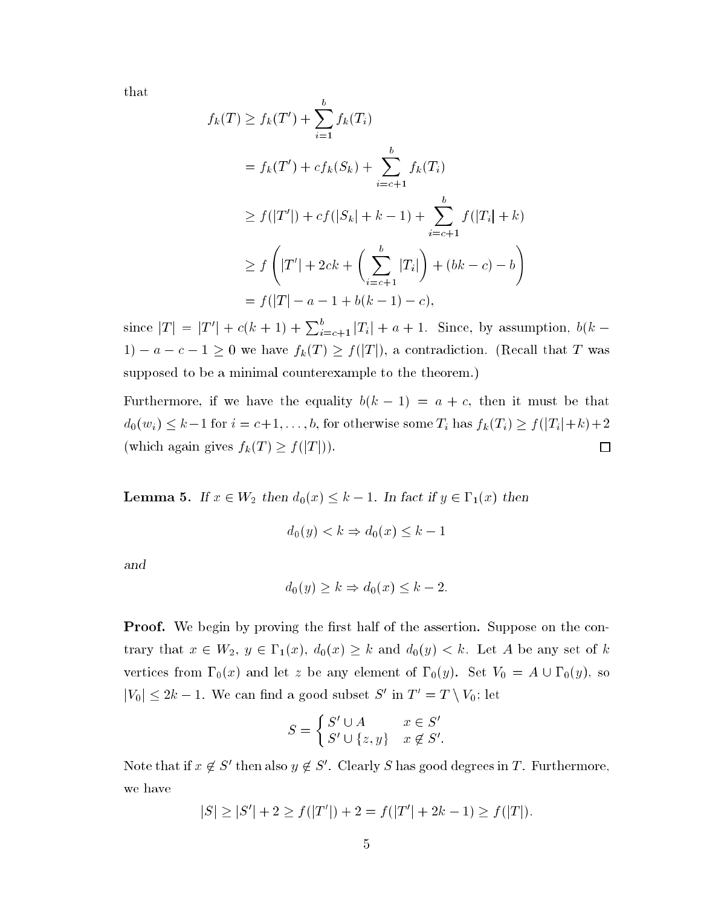that

$$
f_k(T) \ge f_k(T') + \sum_{i=1}^b f_k(T_i)
$$
  
=  $f_k(T') + cf_k(S_k) + \sum_{i=c+1}^b f_k(T_i)$   
 $\ge f(|T'|) + cf(|S_k| + k - 1) + \sum_{i=c+1}^b f(|T_i| + k)$   
 $\ge f\left(|T'| + 2ck + \left(\sum_{i=c+1}^b |T_i|\right) + (bk - c) - b\right)$   
=  $f(|T| - a - 1 + b(k - 1) - c),$ 

since  $|T| = |T'| + c(k+1) + \sum_{i=c+1}^{b} |T_i| + a + 1$ . Since, by assumption,  $b(k-1)$ 1) –  $a - c - 1 \ge 0$  we have  $f_k(T) \ge f(|T|)$ , a contradiction. (Recall that T was supposed to be a minimal counterexample to the theorem.)

Furthermore, if we have the equality  $b(k - 1) = a + c$ , then it must be that  $d_0(w_i) \leq k-1$  for  $i = c+1, \ldots, b$ , for otherwise some  $T_i$  has  $f_k(T_i) \geq f(|T_i|+k)+2$ (which again gives  $f_k(T) \ge f(|T|)$ ).  $\Box$ 

**Lemma 5.** If  $x \in W_2$  then  $d_0(x) \leq k - 1$ . In fact if  $y \in \Gamma_1(x)$  then

$$
d_0(y) < k \Rightarrow d_0(x) \leq k - 1
$$

and

$$
d_0(y) \ge k \Rightarrow d_0(x) \le k - 2.
$$

**Proof.** We begin by proving the first half of the assertion. Suppose on the contrary that  $x \in W_2$ ,  $y \in \Gamma_1(x)$ ,  $d_0(x) \geq k$  and  $d_0(y) < k$ . Let A be any set of k vertices from  $\Gamma_0(x)$  and let z be any element of  $\Gamma_0(y)$ . Set  $V_0 = A \cup \Gamma_0(y)$ , so  $|V_0| \leq 2k - 1$ . We can find a good subset S' in  $T' = T \setminus V_0$ ; let

$$
S = \begin{cases} S' \cup A & x \in S' \\ S' \cup \{z, y\} & x \notin S'. \end{cases}
$$

Note that if  $x \notin S'$  then also  $y \notin S'$ . Clearly S has good degrees in T. Furthermore, we have

$$
|S| \ge |S'| + 2 \ge f(|T'|) + 2 = f(|T'| + 2k - 1) \ge f(|T|).
$$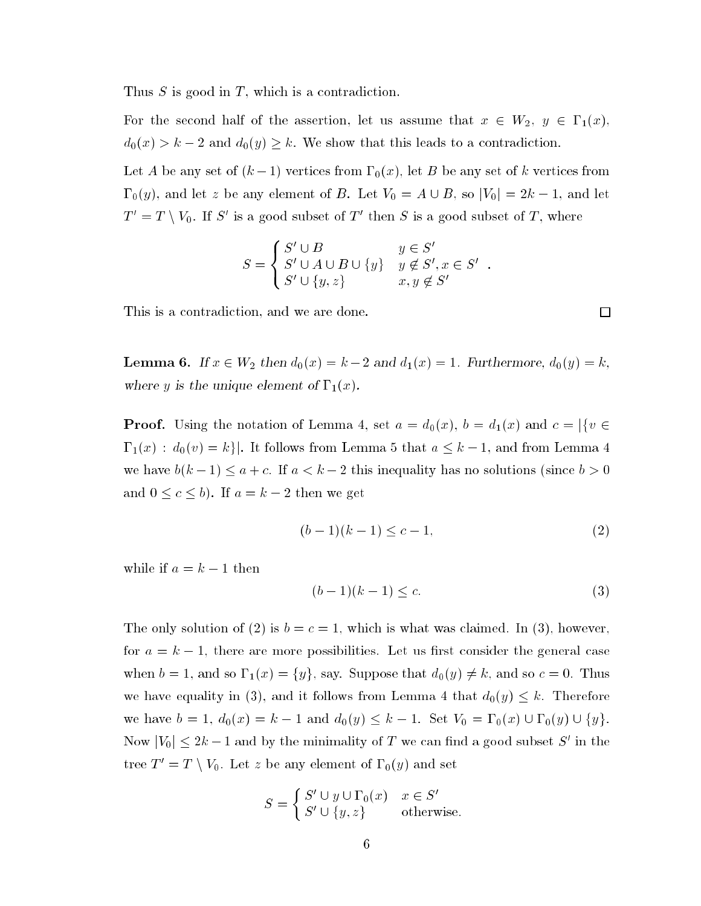Thus  $S$  is good in  $T$ , which is a contradiction.

For the second half of the assertion, let us assume that  $x \in W_2$ ,  $y \in \Gamma_1(x)$ ,  $d_0(x) > k - 2$  and  $d_0(y) \geq k$ . We show that this leads to a contradiction.

Let A be any set of  $(k-1)$  vertices from  $\Gamma_0(x)$ , let B be any set of k vertices from  $\Gamma_0(y)$ , and let z be any element of B. Let  $V_0 = A \cup B$ , so  $|V_0| = 2k - 1$ , and let  $T' = T \setminus V_0$ . If S' is a good subset of T' then S is a good subset of T, where

$$
S = \begin{cases} S' \cup B & y \in S' \\ S' \cup A \cup B \cup \{y\} & y \notin S', x \in S' \\ S' \cup \{y, z\} & x, y \notin S' \end{cases}
$$

This is a contradiction, and we are done.

**Lemma 6.** If  $x \in W_2$  then  $d_0(x) = k - 2$  and  $d_1(x) = 1$ . Furthermore,  $d_0(y) = k$ , where y is the unique element of  $\Gamma_1(x)$ .

**Proof.** Using the notation of Lemma 4, set  $a = d_0(x)$ ,  $b = d_1(x)$  and  $c = |\{v \in \mathbb{R}^d : |v| \leq 1\}|$  $\Gamma_1(x) : d_0(v) = k$ . It follows from Lemma 5 that  $a \leq k - 1$ , and from Lemma 4 we have  $b(k-1) \le a + c$ . If  $a < k-2$  this inequality has no solutions (since  $b > 0$ and  $0 \leq c \leq b$ . If  $a = k - 2$  then we get

$$
(b-1)(k-1) \le c-1,\tag{2}
$$

while if  $a = k - 1$  then

$$
(b-1)(k-1) \le c. \tag{3}
$$

The only solution of (2) is  $b = c = 1$ , which is what was claimed. In (3), however, for  $a = k - 1$ , there are more possibilities. Let us first consider the general case when  $b = 1$ , and so  $\Gamma_1(x) = \{y\}$ , say. Suppose that  $d_0(y) \neq k$ , and so  $c = 0$ . Thus we have equality in (3), and it follows from Lemma 4 that  $d_0(y) \leq k$ . Therefore we have  $b = 1$ ,  $d_0(x) = k - 1$  and  $d_0(y) \leq k - 1$ . Set  $V_0 = \Gamma_0(x) \cup \Gamma_0(y) \cup \{y\}$ . Now  $|V_0| \leq 2k-1$  and by the minimality of T we can find a good subset S' in the tree  $T' = T \setminus V_0$ . Let z be any element of  $\Gamma_0(y)$  and set

$$
S = \begin{cases} S' \cup y \cup \Gamma_0(x) & x \in S' \\ S' \cup \{y, z\} & \text{otherwise.} \end{cases}
$$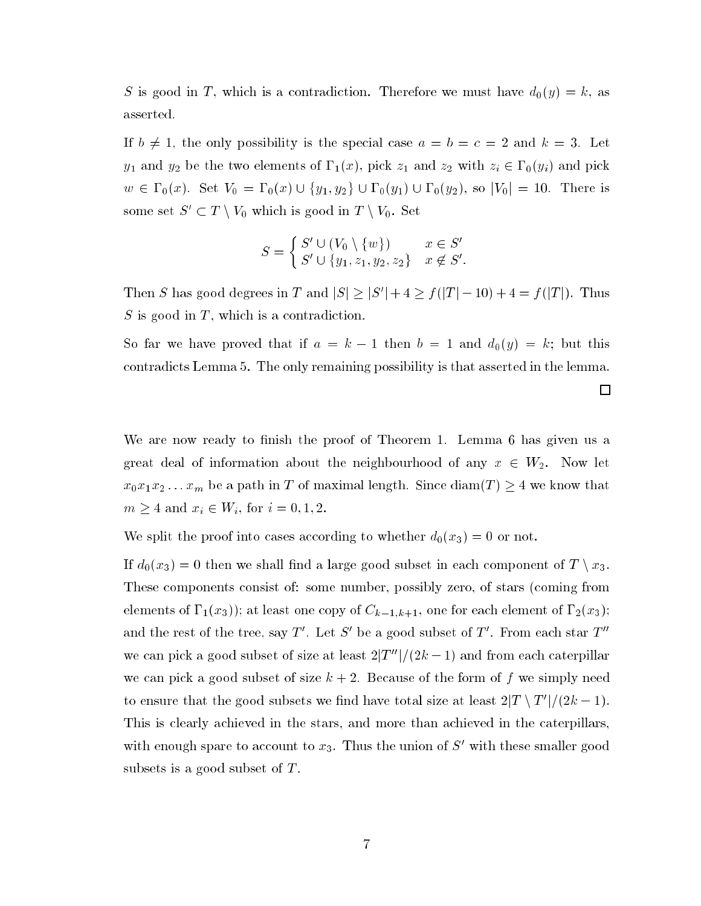S is good in T, which is a contradiction. Therefore we must have  $d_0(y) = k$ , as asserted.

If  $b \neq 1$ , the only possibility is the special case  $a = b = c = 2$  and  $k = 3$ . Let  $y_1$  and  $y_2$  be the two elements of  $\Gamma_1(x)$ , pick  $z_1$  and  $z_2$  with  $z_i \in \Gamma_0(y_i)$  and pick  $w \in \Gamma_0(x)$ . Set  $V_0 = \Gamma_0(x) \cup \{y_1, y_2\} \cup \Gamma_0(y_1) \cup \Gamma_0(y_2)$ , so  $|V_0| = 10$ . There is some set  $S' \subset T \setminus V_0$  which is good in  $T \setminus V_0$ . Set

$$
S = \begin{cases} S' \cup (V_0 \setminus \{w\}) & x \in S' \\ S' \cup \{y_1, z_1, y_2, z_2\} & x \notin S'. \end{cases}
$$

Then S has good degrees in T and  $|S| \geq |S'| + 4 \geq f(|T| - 10) + 4 = f(|T|)$ . Thus  $S$  is good in  $T$ , which is a contradiction.

So far we have proved that if  $a = k - 1$  then  $b = 1$  and  $d_0(y) = k$ ; but this contradicts Lemma 5. The only remaining possibility is that asserted in the lemma.

We are now ready to finish the proof of Theorem 1. Lemma 6 has given us a great deal of information about the neighbourhood of any  $x \in W_2$ . Now let  $x_0x_1x_2...x_m$  be a path in T of maximal length. Since  $\text{diam}(T) \geq 4$  we know that  $m \ge 4$  and  $x_i \in W_i$ , for  $i = 0, 1, 2$ .

We split the proof into cases according to whether  $d_0(x_3) = 0$  or not.

If  $d_0(x_3) = 0$  then we shall find a large good subset in each component of  $T \setminus x_3$ . These components consist of: some number, possibly zero, of stars (coming from elements of  $\Gamma_1(x_3)$ ; at least one copy of  $C_{k-1,k+1}$ , one for each element of  $\Gamma_2(x_3)$ ; and the rest of the tree, say T'. Let S' be a good subset of T'. From each star  $T''$ we can pick a good subset of size at least  $2|T''|/(2k-1)$  and from each caterpillar we can pick a good subset of size  $k + 2$ . Because of the form of f we simply need to ensure that the good subsets we find have total size at least  $2|T \setminus T'|/(2k-1)$ . This is clearly achieved in the stars, and more than achieved in the caterpillars, with enough spare to account to  $x_3$ . Thus the union of S' with these smaller good subsets is a good subset of  $T$ .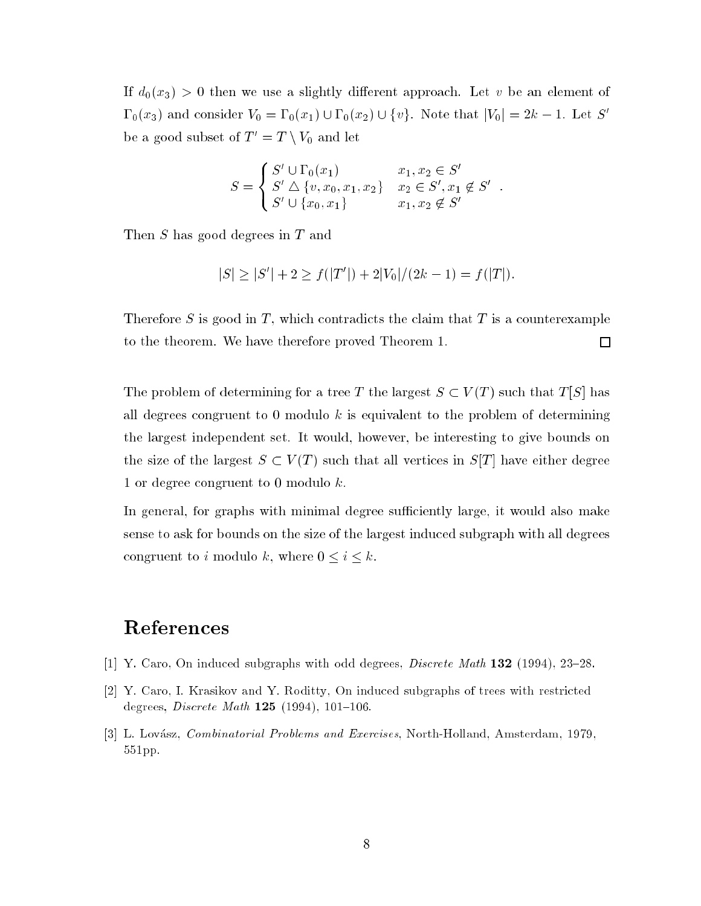If  $d_0(x_3) > 0$  then we use a slightly different approach. Let v be an element of  $\Gamma_0(x_3)$  and consider  $V_0 = \Gamma_0(x_1) \cup \Gamma_0(x_2) \cup \{v\}$ . Note that  $|V_0| = 2k - 1$ . Let S' be a good subset of  $T' = T \setminus V_0$  and let

$$
S = \begin{cases} S' \cup \Gamma_0(x_1) & x_1, x_2 \in S' \\ S' \bigtriangleup \{v, x_0, x_1, x_2\} & x_2 \in S', x_1 \notin S' \\ S' \cup \{x_0, x_1\} & x_1, x_2 \notin S' \end{cases}
$$

Then S has good degrees in T and

$$
|S| \ge |S'| + 2 \ge f(|T'|) + 2|V_0|/(2k - 1) = f(|T|).
$$

Therefore S is good in T, which contradicts the claim that T is a counterexample to the theorem. We have therefore proved Theorem 1.  $\Box$ 

The problem of determining for a tree T the largest  $S \subset V(T)$  such that  $T[S]$  has all degrees congruent to 0 modulo  $k$  is equivalent to the problem of determining the largest independent set. It would, however, be interesting to give bounds on the size of the largest  $S \subset V(T)$  such that all vertices in  $S[T]$  have either degree 1 or degree congruent to 0 modulo k.

In general, for graphs with minimal degree sufficiently large, it would also make sense to ask for bounds on the size of the largest induced subgraph with all degrees congruent to i modulo k, where  $0 \le i \le k$ .

## References

- [1] Y. Caro, On induced subgraphs with odd degrees,  $Discrete \text{ Math } 132$  (1994), 23–28.
- [2] Y. Caro, I. Krasikov and Y. Roditty, On induced subgraphs of trees with restricted degrees, *Discrete Math* 125 (1994), 101-106.
- [3] L. Lovász, *Combinatorial Problems and Exercises*, North-Holland, Amsterdam, 1979, 551pp.